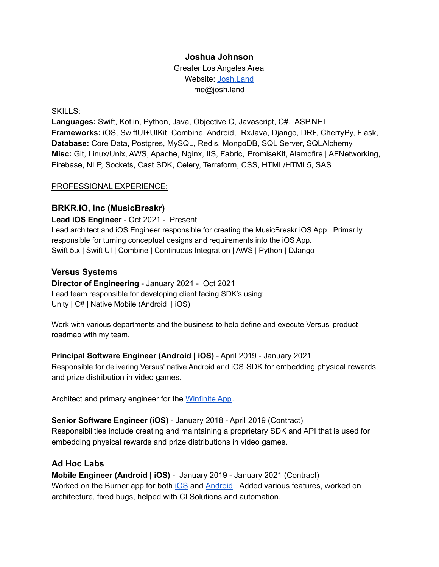## **Joshua Johnson**

Greater Los Angeles Area Website: [Josh.Land](http://josh.land) me@josh.land

### SKILLS:

**Languages:** Swift, Kotlin, Python, Java, Objective C, Javascript, C#, ASP.NET **Frameworks:** iOS, SwiftUI+UIKit, Combine, Android, RxJava, Django, DRF, CherryPy, Flask, **Database:** Core Data**,** Postgres, MySQL, Redis, MongoDB, SQL Server, SQLAlchemy **Misc:** Git, Linux/Unix, AWS, Apache, Nginx, IIS, Fabric, PromiseKit, Alamofire | AFNetworking, Firebase, NLP, Sockets, Cast SDK, Celery, Terraform, CSS, HTML/HTML5, SAS

### PROFESSIONAL EXPERIENCE:

## **BRKR.IO, Inc (MusicBreakr)**

**Lead iOS Engineer** - Oct 2021 - Present Lead architect and iOS Engineer responsible for creating the MusicBreakr iOS App. Primarily responsible for turning conceptual designs and requirements into the iOS App. Swift 5.x | Swift UI | Combine | Continuous Integration | AWS | Python | DJango

## **Versus Systems**

**Director of Engineering** - January 2021 - Oct 2021 Lead team responsible for developing client facing SDK's using: Unity | C# | Native Mobile (Android | iOS)

Work with various departments and the business to help define and execute Versus' product roadmap with my team.

## **Principal Software Engineer (Android | iOS)** - April 2019 - January 2021

Responsible for delivering Versus' native Android and iOS SDK for embedding physical rewards and prize distribution in video games.

Architect and primary engineer for the [Winfinite](https://apps.apple.com/us/app/winfinite/id1488548079) App.

## **Senior Software Engineer (iOS)** - January 2018 - April 2019 (Contract) Responsibilities include creating and maintaining a proprietary SDK and API that is used for embedding physical rewards and prize distributions in video games.

# **Ad Hoc Labs**

**Mobile Engineer (Android | iOS)** - January 2019 - January 2021 (Contract) Worked on the Burner app for both [iOS](https://apps.apple.com/us/app/burner-text-call-message/id505800761) and **Android**. Added various features, worked on architecture, fixed bugs, helped with CI Solutions and automation.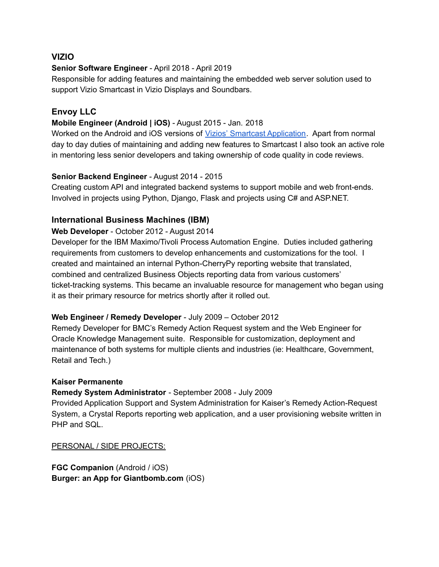## **VIZIO**

## **Senior Software Engineer** - April 2018 - April 2019

Responsible for adding features and maintaining the embedded web server solution used to support Vizio Smartcast in Vizio Displays and Soundbars.

# **Envoy LLC**

## **Mobile Engineer (Android | iOS)** - August 2015 - Jan. 2018

Worked on the Android and iOS versions of Vizios' Smartcast [Application](https://www.vizio.com/smartcast-app). Apart from normal day to day duties of maintaining and adding new features to Smartcast I also took an active role in mentoring less senior developers and taking ownership of code quality in code reviews.

## **Senior Backend Engineer** - August 2014 - 2015

Creating custom API and integrated backend systems to support mobile and web front-ends. Involved in projects using Python, Django, Flask and projects using C# and ASP.NET.

## **International Business Machines (IBM)**

### **Web Developer** - October 2012 - August 2014

Developer for the IBM Maximo/Tivoli Process Automation Engine. Duties included gathering requirements from customers to develop enhancements and customizations for the tool. I created and maintained an internal Python-CherryPy reporting website that translated, combined and centralized Business Objects reporting data from various customers' ticket-tracking systems. This became an invaluable resource for management who began using it as their primary resource for metrics shortly after it rolled out.

## **Web Engineer / Remedy Developer** - July 2009 – October 2012

Remedy Developer for BMC's Remedy Action Request system and the Web Engineer for Oracle Knowledge Management suite. Responsible for customization, deployment and maintenance of both systems for multiple clients and industries (ie: Healthcare, Government, Retail and Tech.)

#### **Kaiser Permanente**

## **Remedy System Administrator** - September 2008 - July 2009

Provided Application Support and System Administration for Kaiser's Remedy Action-Request System, a Crystal Reports reporting web application, and a user provisioning website written in PHP and SQL.

#### PERSONAL / SIDE PROJECTS:

**FGC Companion** (Android / iOS) **Burger: an App for Giantbomb.com** (iOS)